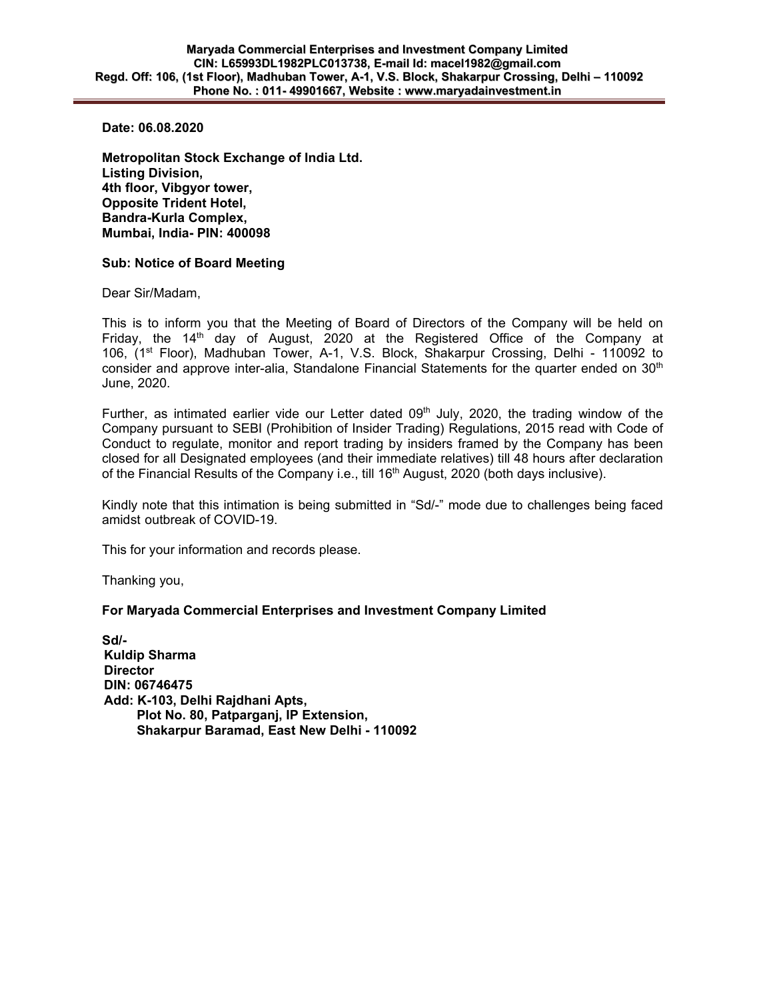**Date: 06.08.2020** 

**Metropolitan Stock Exchange of India Ltd. Listing Division, 4th floor, Vibgyor tower, Opposite Trident Hotel, Bandra-Kurla Complex, Mumbai, India- PIN: 400098** 

## **Sub: Notice of Board Meeting**

Dear Sir/Madam,

This is to inform you that the Meeting of Board of Directors of the Company will be held on Friday, the 14<sup>th</sup> day of August, 2020 at the Registered Office of the Company at 106, (1<sup>st</sup> Floor), Madhuban Tower, A-1, V.S. Block, Shakarpur Crossing, Delhi - 110092 to consider and approve inter-alia, Standalone Financial Statements for the quarter ended on  $30<sup>th</sup>$ June, 2020.

Further, as intimated earlier vide our Letter dated  $09<sup>th</sup>$  July, 2020, the trading window of the Company pursuant to SEBI (Prohibition of Insider Trading) Regulations, 2015 read with Code of Conduct to regulate, monitor and report trading by insiders framed by the Company has been closed for all Designated employees (and their immediate relatives) till 48 hours after declaration of the Financial Results of the Company i.e., till  $16<sup>th</sup>$  August, 2020 (both days inclusive).

Kindly note that this intimation is being submitted in "Sd/-" mode due to challenges being faced amidst outbreak of COVID-19.

This for your information and records please.

Thanking you,

## **For Maryada Commercial Enterprises and Investment Company Limited**

**Sd/- Kuldip Sharma Director DIN: 06746475 Add: K-103, Delhi Rajdhani Apts, Plot No. 80, Patparganj, IP Extension, Shakarpur Baramad, East New Delhi - 110092**